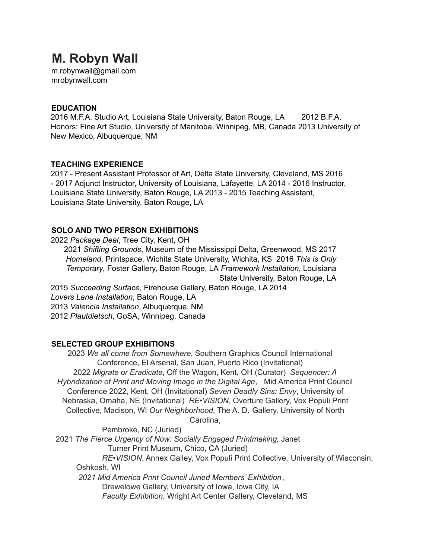# **M. Robyn Wall**

m.robynwall@gmail.com mrobynwall.com

### **EDUCATION**

2016 M.F.A. Studio Art, Louisiana State University, Baton Rouge, LA 2012 B.F.A. Honors: Fine Art Studio, University of Manitoba, Winnipeg, MB, Canada 2013 University of New Mexico, Albuquerque, NM

### **TEACHING EXPERIENCE**

2017 - Present Assistant Professor of Art, Delta State University, Cleveland, MS 2016 - 2017 Adjunct Instructor, University of Louisiana, Lafayette, LA 2014 - 2016 Instructor, Louisiana State University, Baton Rouge, LA 2013 - 2015 Teaching Assistant, Louisiana State University, Baton Rouge, LA

# **SOLO AND TWO PERSON EXHIBITIONS**

2022 *Package Deal*, Tree City, Kent, OH 2021 *Shifting Grounds*, Museum of the Mississippi Delta, Greenwood, MS 2017 *Homeland*, Printspace, Wichita State University, Wichita, KS 2016 *This is Only Temporary*, Foster Gallery, Baton Rouge, LA *Framework Installation*, Louisiana State University, Baton Rouge, LA 2015 *Succeeding Surface*, Firehouse Gallery, Baton Rouge, LA 2014

*Lovers Lane Installation*, Baton Rouge, LA 2013 *Valencia Installation*, Albuquerque, NM 2012 *Plautdietsch*, GoSA, Winnipeg, Canada

# **SELECTED GROUP EXHIBITIONS**

2023 *We all come from Somewhere*, Southern Graphics Council International Conference, El Arsenal, San Juan, Puerto Rico (Invitational) 2022 *Migrate or Eradicate*, Off the Wagon, Kent, OH (Curator) *Sequencer: A Hybridization of Print and Moving Image in the Digital Age*, Mid America Print Council Conference 2022, Kent, OH (Invitational) *Seven Deadly Sins: Envy*, University of Nebraska, Omaha, NE (Invitational) *RE•VISION*, Overture Gallery, Vox Populi Print Collective, Madison, WI *Our Neighborhood*, The A. D. Gallery, University of North

Carolina,

Pembroke, NC (Juried) 2021 *The Fierce Urgency of Now: Socially Engaged Printmaking,* Janet Turner Print Museum, Chico, CA (Juried) *RE•VISION*, Annex Galley, Vox Populi Print Collective, University of Wisconsin, Oshkosh, WI *2021 Mid America Print Council Juried Members' Exhibition*, Drewelowe Gallery, University of Iowa, Iowa City, IA *Faculty Exhibition*, Wright Art Center Gallery, Cleveland, MS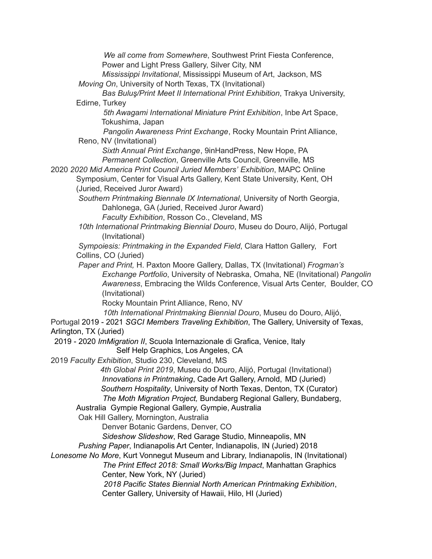*We all come from Somewhere*, Southwest Print Fiesta Conference, Power and Light Press Gallery, Silver City, NM *Mississippi Invitational*, Mississippi Museum of Art, Jackson, MS *Moving On*, University of North Texas, TX (Invitational) *Bas Buluş/Print Meet II International Print Exhibition*, Trakya University, Edirne, Turkey *5th Awagami International Miniature Print Exhibition*, Inbe Art Space, Tokushima, Japan *Pangolin Awareness Print Exchange*, Rocky Mountain Print Alliance, Reno, NV (Invitational) *Sixth Annual Print Exchange*, 9inHandPress, New Hope, PA *Permanent Collection*, Greenville Arts Council, Greenville, MS 2020 *2020 Mid America Print Council Juried Members' Exhibition*, MAPC Online Symposium, Center for Visual Arts Gallery, Kent State University, Kent, OH (Juried, Received Juror Award) *Southern Printmaking Biennale IX International*, University of North Georgia, Dahlonega, GA (Juried, Received Juror Award) *Faculty Exhibition*, Rosson Co., Cleveland, MS *10th International Printmaking Biennial Douro*, Museu do Douro, Alijó, Portugal (Invitational) *Sympoiesis: Printmaking in the Expanded Field*, Clara Hatton Gallery, Fort Collins, CO (Juried) *Paper and Print,* H. Paxton Moore Gallery, Dallas, TX (Invitational) *Frogman's Exchange Portfolio*, University of Nebraska, Omaha, NE (Invitational) *Pangolin Awareness*, Embracing the Wilds Conference, Visual Arts Center, Boulder, CO (Invitational) Rocky Mountain Print Alliance, Reno, NV *10th International Printmaking Biennial Douro*, Museu do Douro, Alijó, Portugal 2019 - 2021 *SGCI Members Traveling Exhibition*, The Gallery, University of Texas, Arlington, TX (Juried) 2019 - 2020 *ImMigration II*, Scuola Internazionale di Grafica, Venice, Italy Self Help Graphics, Los Angeles, CA 2019 *Faculty Exhibition*, Studio 230, Cleveland, MS *4th Global Print 2019*, Museu do Douro, Alijó, Portugal (Invitational) *Innovations in Printmaking*, Cade Art Gallery, Arnold, MD (Juried) *Southern Hospitality*, University of North Texas, Denton, TX (Curator) *The Moth Migration Project,* Bundaberg Regional Gallery, Bundaberg, Australia Gympie Regional Gallery, Gympie, Australia Oak Hill Gallery, Mornington, Australia Denver Botanic Gardens, Denver, CO *Sideshow Slideshow*, Red Garage Studio, Minneapolis, MN *Pushing Paper*, Indianapolis Art Center, Indianapolis, IN (Juried) 2018 *Lonesome No More*, Kurt Vonnegut Museum and Library, Indianapolis, IN (Invitational) *The Print Effect 2018: Small Works/Big Impact*, Manhattan Graphics Center, New York, NY (Juried) *2018 Pacific States Biennial North American Printmaking Exhibition*, Center Gallery, University of Hawaii, Hilo, HI (Juried)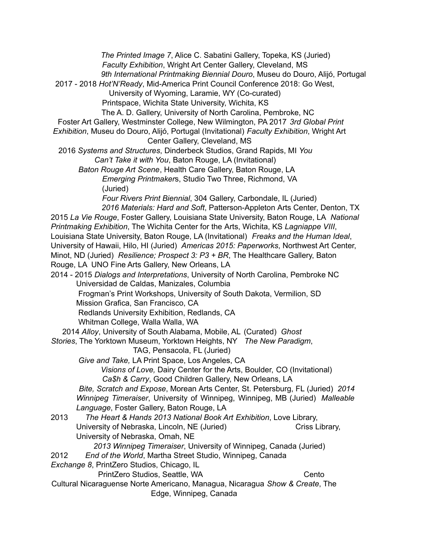*The Printed Image 7*, Alice C. Sabatini Gallery, Topeka, KS (Juried) *Faculty Exhibition*, Wright Art Center Gallery, Cleveland, MS *9th International Printmaking Biennial Douro*, Museu do Douro, Alijó, Portugal 2017 - 2018 *Hot'N'Ready*, Mid-America Print Council Conference 2018: Go West, University of Wyoming, Laramie, WY (Co-curated) Printspace, Wichita State University, Wichita, KS The A. D. Gallery, University of North Carolina, Pembroke, NC Foster Art Gallery, Westminster College, New Wilmington, PA 2017 *3rd Global Print Exhibition*, Museu do Douro, Alijó, Portugal (Invitational) *Faculty Exhibition*, Wright Art Center Gallery, Cleveland, MS 2016 *Systems and Structures*, Dinderbeck Studios, Grand Rapids, MI *You Can't Take it with You*, Baton Rouge, LA (Invitational) *Baton Rouge Art Scene*, Health Care Gallery, Baton Rouge, LA *Emerging Printmaker*s, Studio Two Three, Richmond, VA (Juried) *Four Rivers Print Biennial*, 304 Gallery, Carbondale, IL (Juried) *2016 Materials: Hard and Soft*, Patterson-Appleton Arts Center, Denton, TX 2015 *La Vie Rouge*, Foster Gallery, Louisiana State University, Baton Rouge, LA *National Printmaking Exhibition*, The Wichita Center for the Arts, Wichita, KS *Lagniappe VIII*, Louisiana State University, Baton Rouge, LA (Invitational) *Freaks and the Human Ideal*, University of Hawaii, Hilo, HI (Juried) *Americas 2015: Paperworks*, Northwest Art Center, Minot, ND (Juried) *Resilience; Prospect 3: P3 + BR*, The Healthcare Gallery, Baton Rouge, LA UNO Fine Arts Gallery, New Orleans, LA 2014 - 2015 *Dialogs and Interpretations*, University of North Carolina, Pembroke NC Universidad de Caldas, Manizales, Columbia Frogman's Print Workshops, University of South Dakota, Vermilion, SD Mission Grafica, San Francisco, CA Redlands University Exhibition, Redlands, CA Whitman College, Walla Walla, WA 2014 *Alloy*, University of South Alabama, Mobile, AL (Curated) *Ghost Stories*, The Yorktown Museum, Yorktown Heights, NY *The New Paradigm*, TAG, Pensacola, FL (Juried) *Give and Take,* LA Print Space, Los Angeles, CA *Visions of Love,* Dairy Center for the Arts, Boulder, CO (Invitational) *Ca\$h & Carry*, Good Children Gallery, New Orleans, LA *Bite, Scratch and Expose*, Morean Arts Center, St. Petersburg, FL (Juried) *2014 Winnipeg Timeraiser*, University of Winnipeg, Winnipeg, MB (Juried) *Malleable Language*, Foster Gallery, Baton Rouge, LA 2013 *The Heart & Hands 2013 National Book Art Exhibition*, Love Library, University of Nebraska, Lincoln, NE (Juried) Criss Library, University of Nebraska, Omah, NE *2013 Winnipeg Timeraiser*, University of Winnipeg, Canada (Juried) 2012 *End of the World*, Martha Street Studio, Winnipeg, Canada *Exchange 8*, PrintZero Studios, Chicago, IL PrintZero Studios, Seattle, WA Cento Cultural Nicaraguense Norte Americano, Managua, Nicaragua *Show & Create*, The Edge, Winnipeg, Canada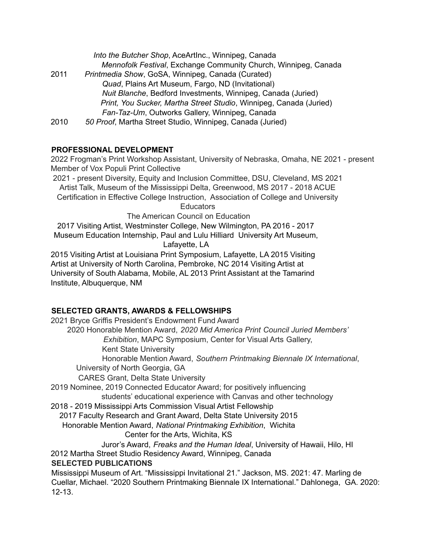|      | Into the Butcher Shop, AceArtInc., Winnipeg, Canada                |
|------|--------------------------------------------------------------------|
|      | Mennofolk Festival, Exchange Community Church, Winnipeg, Canada    |
| 2011 | Printmedia Show, GoSA, Winnipeg, Canada (Curated)                  |
|      | Quad, Plains Art Museum, Fargo, ND (Invitational)                  |
|      | Nuit Blanche, Bedford Investments, Winnipeg, Canada (Juried)       |
|      | Print, You Sucker, Martha Street Studio, Winnipeg, Canada (Juried) |
|      | Fan-Taz-Um, Outworks Gallery, Winnipeg, Canada                     |
| 2010 | 50 Proof, Martha Street Studio, Winnipeg, Canada (Juried)          |

# **PROFESSIONAL DEVELOPMENT**

2022 Frogman's Print Workshop Assistant, University of Nebraska, Omaha, NE 2021 - present Member of Vox Populi Print Collective

2021 - present Diversity, Equity and Inclusion Committee, DSU, Cleveland, MS 2021 Artist Talk, Museum of the Mississippi Delta, Greenwood, MS 2017 - 2018 ACUE Certification in Effective College Instruction, Association of College and University **Educators** 

The American Council on Education

2017 Visiting Artist, Westminster College, New Wilmington, PA 2016 - 2017 Museum Education Internship, Paul and Lulu Hilliard University Art Museum, Lafayette, LA

2015 Visiting Artist at Louisiana Print Symposium, Lafayette, LA 2015 Visiting Artist at University of North Carolina, Pembroke, NC 2014 Visiting Artist at University of South Alabama, Mobile, AL 2013 Print Assistant at the Tamarind Institute, Albuquerque, NM

# **SELECTED GRANTS, AWARDS & FELLOWSHIPS**

2021 Bryce Griffis President's Endowment Fund Award 2020 Honorable Mention Award, *2020 Mid America Print Council Juried Members' Exhibition*, MAPC Symposium, Center for Visual Arts Gallery, Kent State University Honorable Mention Award, *Southern Printmaking Biennale IX International*, University of North Georgia, GA CARES Grant, Delta State University 2019 Nominee, 2019 Connected Educator Award; for positively influencing students' educational experience with Canvas and other technology 2018 - 2019 Mississippi Arts Commission Visual Artist Fellowship 2017 Faculty Research and Grant Award, Delta State University 2015 Honorable Mention Award, *National Printmaking Exhibition*, Wichita Center for the Arts, Wichita, KS Juror's Award, *Freaks and the Human Ideal*, University of Hawaii, Hilo, HI 2012 Martha Street Studio Residency Award, Winnipeg, Canada **SELECTED PUBLICATIONS** Mississippi Museum of Art. "Mississippi Invitational 21." Jackson, MS. 2021: 47. Marling de Cuellar, Michael. "2020 Southern Printmaking Biennale IX International." Dahlonega, GA. 2020: 12-13.